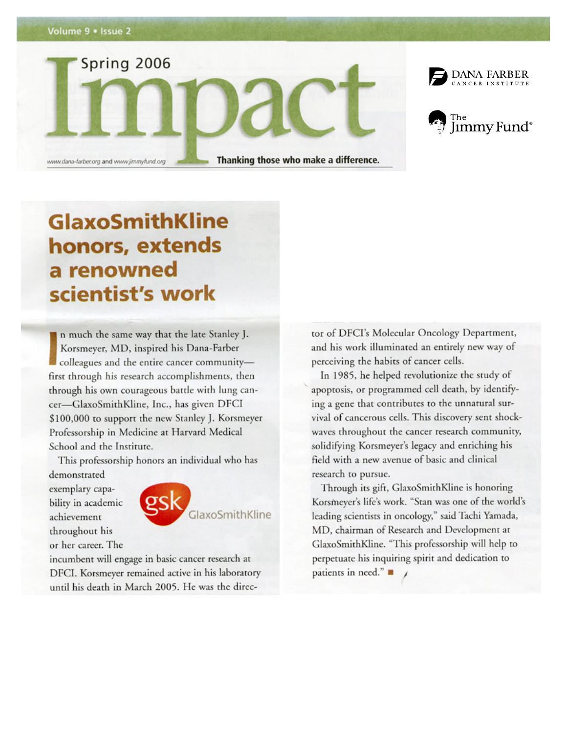







# **GlaxoSmithKline** honors, extends a renowned scientist's work

n much the same way that the late Stanley J. Korsmeyer, MD, inspired his Dana-Farber colleagues and the entire cancer communityfirst through his research accomplishments, then through his own courageous battle with lung cancer-GlaxoSmithKline, Inc., has given DFCI \$100,000 to support the new Stanley J. Korsmeyer Professorship in Medicine at Harvard Medical School and the Institute.

This professorship honors an individual who has

demonstrated exemplary capability in academic achievement throughout his or her career. The



incumbent will engage in basic cancer research at DFCI. Korsmeyer remained active in his laboratory until his death in March 2005. He was the direc-

tor of DFCI's Molecular Oncology Department, and his work illuminated an entirely new way of perceiving the habits of cancer cells.

In 1985, he helped revolutionize the study of apoptosis, or programmed cell death, by identifying a gene that contributes to the unnatural survival of cancerous cells. This discovery sent shockwaves throughout the cancer research community, solidifying Korsmeyer's legacy and enriching his field with a new avenue of basic and clinical research to pursue.

Through its gift, GlaxoSmithKline is honoring Korsmeyer's life's work. "Stan was one of the world's leading scientists in oncology," said Tachi Yamada, MD, chairman of Research and Development at GlaxoSmithKline. "This professorship will help to perpetuate his inquiring spirit and dedication to patients in need."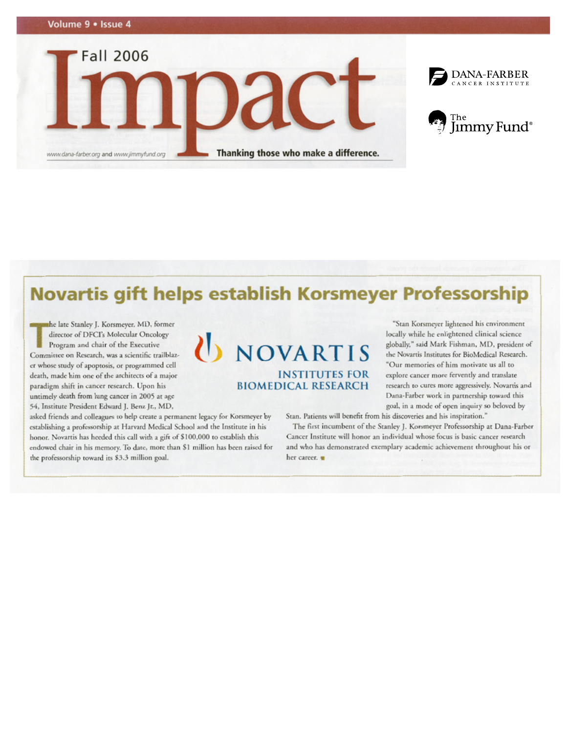



### Novartis gift helps establish Korsmeyer Professorship

U NOVARTIS

**INSTITUTES FOR** 

**BIOMEDICAL RESEARCH** 

the late Stanley J. Korsmeyer, MD, former director of DFCI's Molecular Oncology Program and chair of the Executive Committee on Research, was a scientific trailblazer whose study of apoptosis, or programmed cell death, made him one of the architects of a major paradigm shift in cancer research. Upon his untimely death from lung cancer in 2005 at age 54, Institute President Edward J. Benz Jr., MD,

asked friends and colleagues to help create a permanent legacy for Korsmeyer by establishing a professorship at Harvard Medical School and the Institute in his honor. Novartis has heeded this call with a gift of \$100,000 to establish this endowed chair in his memory. To date, more than \$1 million has been raised for the professorship toward its \$3.3 million goal.

"Stan Korsmeyer lightened his environment locally while he enlightened clinical science globally," said Mark Fishman, MD, president of the Novartis Institutes for BioMedical Research. "Our memories of him motivate us all to explore cancer more fervently and translate research to cures more aggressively. Novartis and Dana-Farber work in partnership toward this goal, in a mode of open inquiry so beloved by

Stan. Patients will benefit from his discoveries and his inspiration."

The first incumbent of the Stanley J. Korsmeyer Professorship at Dana-Farber Cancer Institute will honor an individual whose focus is basic cancer research and who has demonstrated exemplary academic achievement throughout his or her career.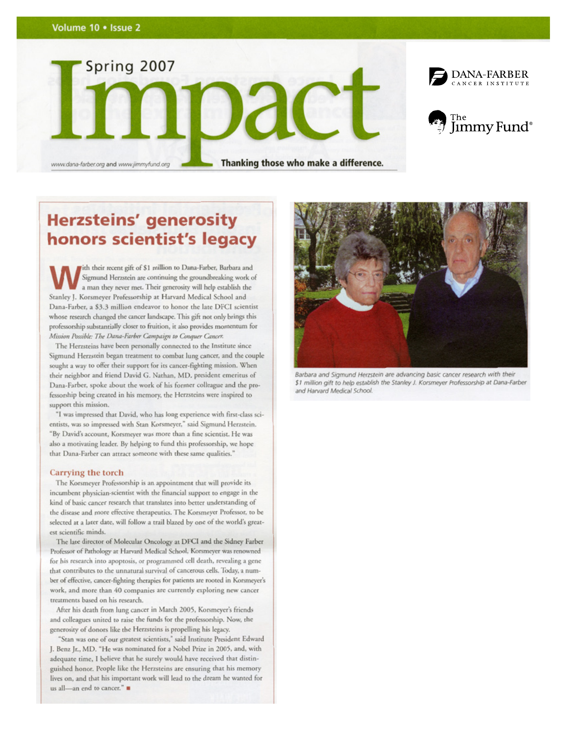





www.dana-farber.org and www.jimmyfund.org

Thanking those who make a difference.

### **Herzsteins' generosity** honors scientist's legacy

fith their recent gift of \$1 million to Dana-Farber, Barbara and Sigmund Herzstein are continuing the groundbreaking work of a man they never met. Their generosity will help establish the Stanley J. Korsmeyer Professorship at Harvard Medical School and Dana-Farber, a \$3.3 million endeavor to honor the late DFCI scientist whose research changed the cancer landscape. This gift not only brings this professorship substantially closer to fruition, it also provides momentum for Mission Possible: The Dana-Farber Campaign to Conquer Cancer.

The Herzsteins have been personally connected to the Institute since Sigmund Herzstein began treatment to combat lung cancer, and the couple sought a way to offer their support for its cancer-fighting mission. When their neighbor and friend David G. Nathan, MD, president emeritus of Dana-Farber, spoke about the work of his former colleague and the professorship being created in his memory, the Herzsteins were inspired to support this mission.

"I was impressed that David, who has long experience with first-class scientists, was so impressed with Stan Korsmeyer," said Sigmund Herzstein. "By David's account, Korsmeyer was more than a fine scientist. He was also a motivating leader. By helping to fund this professorship, we hope that Dana-Farber can attract someone with these same qualities."

#### Carrying the torch

The Korsmeyer Professorship is an appointment that will provide its incumbent physician-scientist with the financial support to engage in the kind of basic cancer research that translates into better understanding of the disease and more effective therapeutics. The Korsmeyer Professor, to be selected at a later date, will follow a trail blazed by one of the world's greatest scientific minds.

The late director of Molecular Oncology at DFCI and the Sidney Farber Professor of Pathology at Harvard Medical School, Korsmeyer was renowned for his research into apoptosis, or programmed cell death, revealing a gene that contributes to the unnatural survival of cancerous cells. Today, a number of effective, cancer-fighting therapies for patients are rooted in Korsmeyer's work, and more than 40 companies are currently exploring new cancer treatments based on his research.

After his death from lung cancer in March 2005, Korsmeyer's friends and colleagues united to raise the funds for the professorship. Now, the generosity of donors like the Herzsteins is propelling his legacy.

"Stan was one of our greatest scientists," said Institute President Edward J. Benz Jr., MD. "He was nominated for a Nobel Prize in 2005, and, with adequate time, I believe that he surely would have received that distinguished honor. People like the Herzsteins are ensuring that his memory lives on, and that his important work will lead to the dream he wanted for us all-an end to cancer."



Barbara and Sigmund Herzstein are advancing basic cancer research with their \$1 million gift to help establish the Stanley J. Korsmeyer Professorship at Dana-Farber and Harvard Medical School.